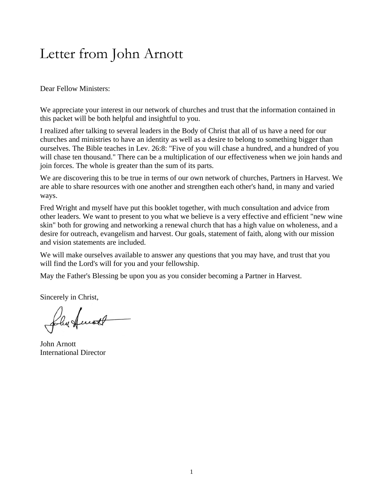## Letter from John Arnott

Dear Fellow Ministers:

We appreciate your interest in our network of churches and trust that the information contained in this packet will be both helpful and insightful to you.

I realized after talking to several leaders in the Body of Christ that all of us have a need for our churches and ministries to have an identity as well as a desire to belong to something bigger than ourselves. The Bible teaches in Lev. 26:8: "Five of you will chase a hundred, and a hundred of you will chase ten thousand." There can be a multiplication of our effectiveness when we join hands and join forces. The whole is greater than the sum of its parts.

We are discovering this to be true in terms of our own network of churches, Partners in Harvest. We are able to share resources with one another and strengthen each other's hand, in many and varied ways.

Fred Wright and myself have put this booklet together, with much consultation and advice from other leaders. We want to present to you what we believe is a very effective and efficient "new wine skin" both for growing and networking a renewal church that has a high value on wholeness, and a desire for outreach, evangelism and harvest. Our goals, statement of faith, along with our mission and vision statements are included.

We will make ourselves available to answer any questions that you may have, and trust that you will find the Lord's will for you and your fellowship.

May the Father's Blessing be upon you as you consider becoming a Partner in Harvest.

Sincerely in Christ,

folus final

John Arnott International Director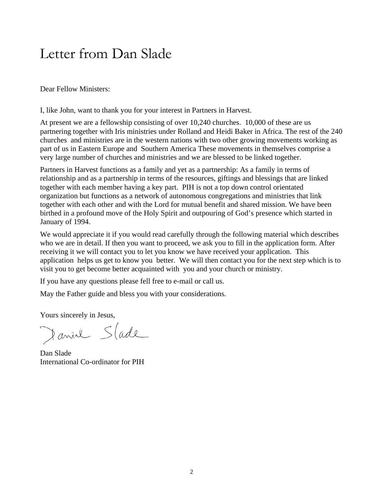## Letter from Dan Slade

Dear Fellow Ministers:

I, like John, want to thank you for your interest in Partners in Harvest.

At present we are a fellowship consisting of over 10,240 churches. 10,000 of these are us partnering together with Iris ministries under Rolland and Heidi Baker in Africa. The rest of the 240 churches and ministries are in the western nations with two other growing movements working as part of us in Eastern Europe and Southern America These movements in themselves comprise a very large number of churches and ministries and we are blessed to be linked together.

Partners in Harvest functions as a family and yet as a partnership: As a family in terms of relationship and as a partnership in terms of the resources, giftings and blessings that are linked together with each member having a key part. PIH is not a top down control orientated organization but functions as a network of autonomous congregations and ministries that link together with each other and with the Lord for mutual benefit and shared mission. We have been birthed in a profound move of the Holy Spirit and outpouring of God's presence which started in January of 1994.

We would appreciate it if you would read carefully through the following material which describes who we are in detail. If then you want to proceed, we ask you to fill in the application form. After receiving it we will contact you to let you know we have received your application. This application helps us get to know you better. We will then contact you for the next step which is to visit you to get become better acquainted with you and your church or ministry.

If you have any questions please fell free to e-mail or call us.

May the Father guide and bless you with your considerations.

Yours sincerely in Jesus,

Danial Stade

Dan Slade International Co-ordinator for PIH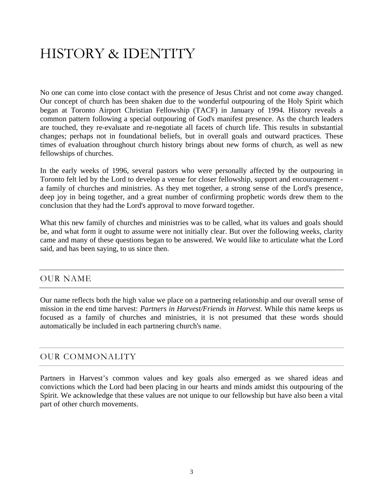# HISTORY & IDENTITY

No one can come into close contact with the presence of Jesus Christ and not come away changed. Our concept of church has been shaken due to the wonderful outpouring of the Holy Spirit which began at Toronto Airport Christian Fellowship (TACF) in January of 1994. History reveals a common pattern following a special outpouring of God's manifest presence. As the church leaders are touched, they re-evaluate and re-negotiate all facets of church life. This results in substantial changes; perhaps not in foundational beliefs, but in overall goals and outward practices. These times of evaluation throughout church history brings about new forms of church, as well as new fellowships of churches.

In the early weeks of 1996, several pastors who were personally affected by the outpouring in Toronto felt led by the Lord to develop a venue for closer fellowship, support and encouragement a family of churches and ministries. As they met together, a strong sense of the Lord's presence, deep joy in being together, and a great number of confirming prophetic words drew them to the conclusion that they had the Lord's approval to move forward together.

What this new family of churches and ministries was to be called, what its values and goals should be, and what form it ought to assume were not initially clear. But over the following weeks, clarity came and many of these questions began to be answered. We would like to articulate what the Lord said, and has been saying, to us since then.

### OUR NAME

Our name reflects both the high value we place on a partnering relationship and our overall sense of mission in the end time harvest: *Partners in Harvest/Friends in Harvest*. While this name keeps us focused as a family of churches and ministries, it is not presumed that these words should automatically be included in each partnering church's name.

### OUR COMMONALITY

Partners in Harvest's common values and key goals also emerged as we shared ideas and convictions which the Lord had been placing in our hearts and minds amidst this outpouring of the Spirit. We acknowledge that these values are not unique to our fellowship but have also been a vital part of other church movements.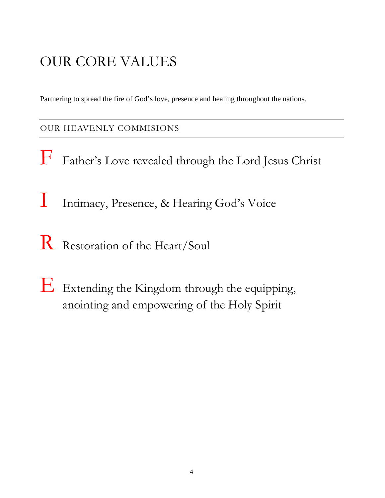# OUR CORE VALUES

Partnering to spread the fire of God's love, presence and healing throughout the nations.

## OUR HEAVENLY COMMISIONS

- F Father's Love revealed through the Lord Jesus Christ
- I Intimacy, Presence, & Hearing God's Voice
- R Restoration of the Heart/Soul
- $E$  Extending the Kingdom through the equipping, anointing and empowering of the Holy Spirit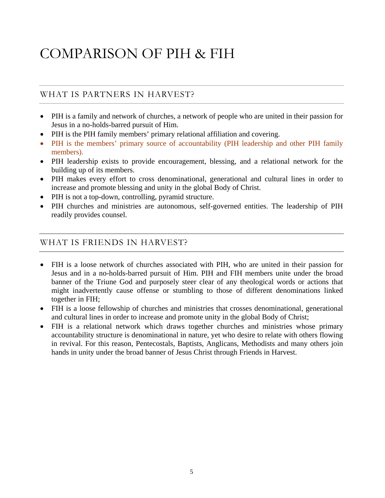# COMPARISON OF PIH & FIH

## WHAT IS PARTNERS IN HARVEST?

- PIH is a family and network of churches, a network of people who are united in their passion for Jesus in a no-holds-barred pursuit of Him.
- PIH is the PIH family members' primary relational affiliation and covering.
- PIH is the members' primary source of accountability (PIH leadership and other PIH family members).
- PIH leadership exists to provide encouragement, blessing, and a relational network for the building up of its members.
- PIH makes every effort to cross denominational, generational and cultural lines in order to increase and promote blessing and unity in the global Body of Christ.
- PIH is not a top-down, controlling, pyramid structure.
- PIH churches and ministries are autonomous, self-governed entities. The leadership of PIH readily provides counsel.

### WHAT IS FRIENDS IN HARVEST?

- FIH is a loose network of churches associated with PIH, who are united in their passion for Jesus and in a no-holds-barred pursuit of Him. PIH and FIH members unite under the broad banner of the Triune God and purposely steer clear of any theological words or actions that might inadvertently cause offense or stumbling to those of different denominations linked together in FIH;
- FIH is a loose fellowship of churches and ministries that crosses denominational, generational and cultural lines in order to increase and promote unity in the global Body of Christ;
- FIH is a relational network which draws together churches and ministries whose primary accountability structure is denominational in nature, yet who desire to relate with others flowing in revival. For this reason, Pentecostals, Baptists, Anglicans, Methodists and many others join hands in unity under the broad banner of Jesus Christ through Friends in Harvest.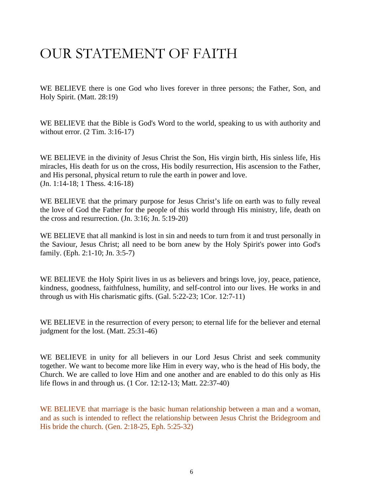## OUR STATEMENT OF FAITH

WE BELIEVE there is one God who lives forever in three persons; the Father, Son, and Holy Spirit. (Matt. 28:19)

WE BELIEVE that the Bible is God's Word to the world, speaking to us with authority and without error. (2 Tim. 3:16-17)

WE BELIEVE in the divinity of Jesus Christ the Son, His virgin birth, His sinless life, His miracles, His death for us on the cross, His bodily resurrection, His ascension to the Father, and His personal, physical return to rule the earth in power and love. (Jn. 1:14-18; 1 Thess. 4:16-18)

WE BELIEVE that the primary purpose for Jesus Christ's life on earth was to fully reveal the love of God the Father for the people of this world through His ministry, life, death on the cross and resurrection. (Jn. 3:16; Jn. 5:19-20)

WE BELIEVE that all mankind is lost in sin and needs to turn from it and trust personally in the Saviour, Jesus Christ; all need to be born anew by the Holy Spirit's power into God's family. (Eph. 2:1-10; Jn. 3:5-7)

WE BELIEVE the Holy Spirit lives in us as believers and brings love, joy, peace, patience, kindness, goodness, faithfulness, humility, and self-control into our lives. He works in and through us with His charismatic gifts. (Gal. 5:22-23; 1Cor. 12:7-11)

WE BELIEVE in the resurrection of every person; to eternal life for the believer and eternal judgment for the lost. (Matt. 25:31-46)

WE BELIEVE in unity for all believers in our Lord Jesus Christ and seek community together. We want to become more like Him in every way, who is the head of His body, the Church. We are called to love Him and one another and are enabled to do this only as His life flows in and through us. (1 Cor. 12:12-13; Matt. 22:37-40)

WE BELIEVE that marriage is the basic human relationship between a man and a woman, and as such is intended to reflect the relationship between Jesus Christ the Bridegroom and His bride the church. (Gen. 2:18-25, Eph. 5:25-32)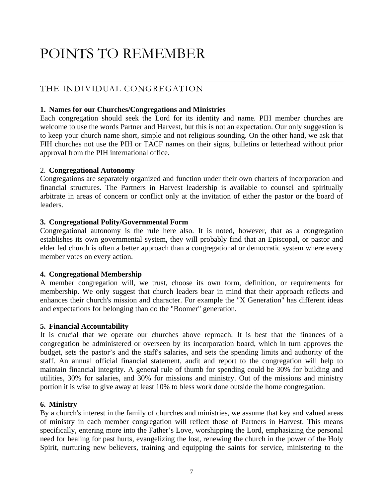## POINTS TO REMEMBER

## THE INDIVIDUAL CONGREGATION

### **1. Names for our Churches/Congregations and Ministries**

Each congregation should seek the Lord for its identity and name. PIH member churches are welcome to use the words Partner and Harvest, but this is not an expectation. Our only suggestion is to keep your church name short, simple and not religious sounding. On the other hand, we ask that FIH churches not use the PIH or TACF names on their signs, bulletins or letterhead without prior approval from the PIH international office.

### 2. **Congregational Autonomy**

Congregations are separately organized and function under their own charters of incorporation and financial structures. The Partners in Harvest leadership is available to counsel and spiritually arbitrate in areas of concern or conflict only at the invitation of either the pastor or the board of leaders.

### **3. Congregational Polity/Governmental Form**

Congregational autonomy is the rule here also. It is noted, however, that as a congregation establishes its own governmental system, they will probably find that an Episcopal, or pastor and elder led church is often a better approach than a congregational or democratic system where every member votes on every action.

### **4. Congregational Membership**

A member congregation will, we trust, choose its own form, definition, or requirements for membership. We only suggest that church leaders bear in mind that their approach reflects and enhances their church's mission and character. For example the "X Generation" has different ideas and expectations for belonging than do the "Boomer" generation.

### **5. Financial Accountability**

It is crucial that we operate our churches above reproach. It is best that the finances of a congregation be administered or overseen by its incorporation board, which in turn approves the budget, sets the pastor's and the staff's salaries, and sets the spending limits and authority of the staff. An annual official financial statement, audit and report to the congregation will help to maintain financial integrity. A general rule of thumb for spending could be 30% for building and utilities, 30% for salaries, and 30% for missions and ministry. Out of the missions and ministry portion it is wise to give away at least 10% to bless work done outside the home congregation.

### **6. Ministry**

By a church's interest in the family of churches and ministries, we assume that key and valued areas of ministry in each member congregation will reflect those of Partners in Harvest. This means specifically, entering more into the Father's Love, worshipping the Lord, emphasizing the personal need for healing for past hurts, evangelizing the lost, renewing the church in the power of the Holy Spirit, nurturing new believers, training and equipping the saints for service, ministering to the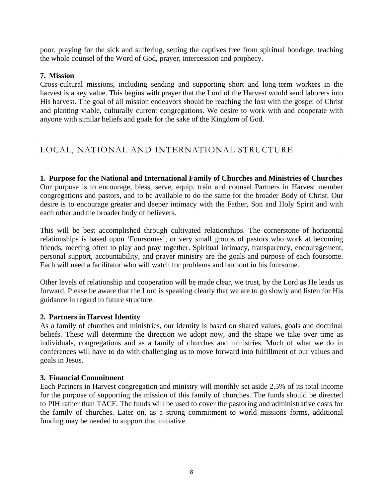poor, praying for the sick and suffering, setting the captives free from spiritual bondage, teaching the whole counsel of the Word of God, prayer, intercession and prophecy.

#### **7. Mission**

Cross-cultural missions, including sending and supporting short and long-term workers in the harvest is a key value. This begins with prayer that the Lord of the Harvest would send laborers into His harvest. The goal of all mission endeavors should be reaching the lost with the gospel of Christ and planting viable, culturally current congregations. We desire to work with and cooperate with anyone with similar beliefs and goals for the sake of the Kingdom of God.

## LOCAL, NATIONAL AND INTERNATIONAL STRUCTURE

**1. Purpose for the National and International Family of Churches and Ministries of Churches** Our purpose is to encourage, bless, serve, equip, train and counsel Partners in Harvest member congregations and pastors, and to be available to do the same for the broader Body of Christ. Our desire is to encourage greater and deeper intimacy with the Father, Son and Holy Spirit and with each other and the broader body of believers.

This will be best accomplished through cultivated relationships. The cornerstone of horizontal relationships is based upon 'Foursomes', or very small groups of pastors who work at becoming friends, meeting often to play and pray together. Spiritual intimacy, transparency, encouragement, personal support, accountability, and prayer ministry are the goals and purpose of each foursome. Each will need a facilitator who will watch for problems and burnout in his foursome.

Other levels of relationship and cooperation will be made clear, we trust, by the Lord as He leads us forward. Please be aware that the Lord is speaking clearly that we are to go slowly and listen for His guidance in regard to future structure.

#### **2. Partners in Harvest Identity**

As a family of churches and ministries, our identity is based on shared values, goals and doctrinal beliefs. These will determine the direction we adopt now, and the shape we take over time as individuals, congregations and as a family of churches and ministries. Much of what we do in conferences will have to do with challenging us to move forward into fulfillment of our values and goals in Jesus.

#### **3. Financial Commitment**

Each Partners in Harvest congregation and ministry will monthly set aside 2.5% of its total income for the purpose of supporting the mission of this family of churches. The funds should be directed to PIH rather than TACF. The funds will be used to cover the pastoring and administrative costs for the family of churches. Later on, as a strong commitment to world missions forms, additional funding may be needed to support that initiative.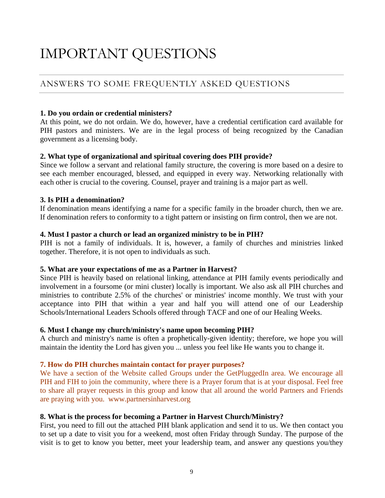## IMPORTANT QUESTIONS

## ANSWERS TO SOME FREQUENTLY ASKED QUESTIONS

#### **1. Do you ordain or credential ministers?**

At this point, we do not ordain. We do, however, have a credential certification card available for PIH pastors and ministers. We are in the legal process of being recognized by the Canadian government as a licensing body.

### **2. What type of organizational and spiritual covering does PIH provide?**

Since we follow a servant and relational family structure, the covering is more based on a desire to see each member encouraged, blessed, and equipped in every way. Networking relationally with each other is crucial to the covering. Counsel, prayer and training is a major part as well.

#### **3. Is PIH a denomination?**

If denomination means identifying a name for a specific family in the broader church, then we are. If denomination refers to conformity to a tight pattern or insisting on firm control, then we are not.

#### **4. Must I pastor a church or lead an organized ministry to be in PIH?**

PIH is not a family of individuals. It is, however, a family of churches and ministries linked together. Therefore, it is not open to individuals as such.

#### **5. What are your expectations of me as a Partner in Harvest?**

Since PIH is heavily based on relational linking, attendance at PIH family events periodically and involvement in a foursome (or mini cluster) locally is important. We also ask all PIH churches and ministries to contribute 2.5% of the churches' or ministries' income monthly. We trust with your acceptance into PIH that within a year and half you will attend one of our [Leadership](http://som.tacf.org/courses/leaders/course.html)  [Schools/](http://som.tacf.org/courses/leaders/course.html)[International Leaders Schools](http://som.tacf.org/courses/international/index.html) offered through [TACF](http://www.tacf.org/) and one of our [Healing Weeks](http://www.tacf.org/DesktopDefault.aspx?tabid=211&menuid=481).

#### **6. Must I change my church/ministry's name upon becoming PIH?**

A church and ministry's name is often a prophetically-given identity; therefore, we hope you will maintain the identity the Lord has given you ... unless you feel like He wants you to change it.

### **7. How do PIH churches maintain contact for prayer purposes?**

We have a section of the Website called Groups under the GetPluggedIn area. We encourage all PIH and FIH to join the community, where there is a Prayer forum that is at your disposal. Feel free to share all prayer requests in this group and know that all around the world Partners and Friends are praying with you. www.partnersinharvest.org

### **8. What is the process for becoming a Partner in Harvest Church/Ministry?**

First, you need to fill out the attached PIH blank application and send it to us. We then contact you to set up a date to visit you for a weekend, most often Friday through Sunday. The purpose of the visit is to get to know you better, meet your leadership team, and answer any questions you/they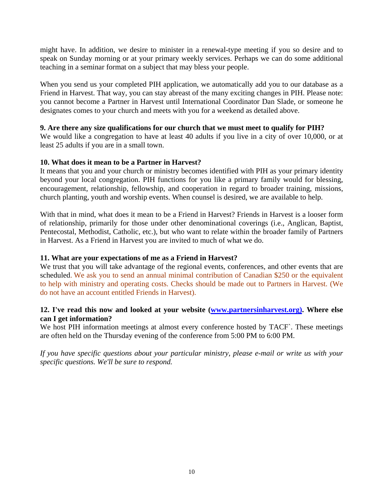might have. In addition, we desire to minister in a renewal-type meeting if you so desire and to speak on Sunday morning or at your primary weekly services. Perhaps we can do some additional teaching in a seminar format on a subject that may bless your people.

When you send us your completed PIH application, we automatically add you to our database as a Friend in Harvest. That way, you can stay abreast of the many exciting changes in PIH. Please note: you cannot become a Partner in Harvest until International Coordinator Dan Slade, or someone he designates comes to your church and meets with you for a weekend as detailed above.

#### **9. Are there any size qualifications for our church that we must meet to qualify for PIH?**

We would like a congregation to have at least 40 adults if you live in a city of over 10,000, or at least 25 adults if you are in a small town.

#### **10. What does it mean to be a Partner in Harvest?**

It means that you and your church or ministry becomes identified with PIH as your primary identity beyond your local congregation. PIH functions for you like a primary family would for blessing, encouragement, relationship, fellowship, and cooperation in regard to broader training, missions, church planting, youth and worship events. When counsel is desired, we are available to help.

With that in mind, what does it mean to be a Friend in Harvest? Friends in Harvest is a looser form of relationship, primarily for those under other denominational coverings (i.e., Anglican, Baptist, Pentecostal, Methodist, Catholic, etc.), but who want to relate within the broader family of Partners in Harvest. As a Friend in Harvest you are invited to much of what we do.

### **11. What are your expectations of me as a Friend in Harvest?**

We trust that you will take advantage of the regional events, conferences, and other events that are scheduled. We ask you to send an annual minimal contribution of Canadian \$250 or the equivalent to help with ministry and operating costs. Checks should be made out to Partners in Harvest. (We do not have an account entitled Friends in Harvest).

### **12. I've read this now and looked at your website [\(www.partnersinharvest.org\).](http://www.partners-in-harvest.org)/) Where else can I get information?**

We host PIH information meetings at almost every conference hosted by TACF`. These meetings are often held on the Thursday evening of the conference from 5:00 PM to 6:00 PM.

*If you have specific questions about your particular ministry, please e-mail or write us with your specific questions. We'll be sure to respond.*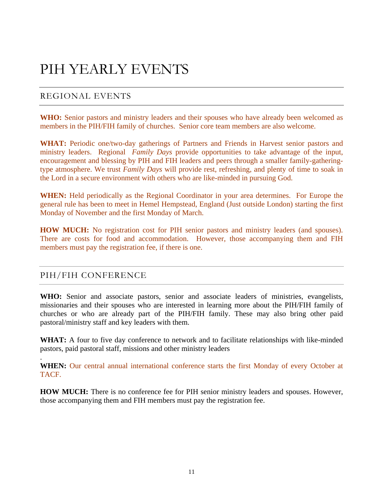## PIH YEARLY EVENTS

### REGIONAL EVENTS

WHO: Senior pastors and ministry leaders and their spouses who have already been welcomed as members in the PIH/FIH family of churches. Senior core team members are also welcome.

WHAT: Periodic one/two-day gatherings of Partners and Friends in Harvest senior pastors and ministry leaders. Regional *Family Days* provide opportunities to take advantage of the input, encouragement and blessing by PIH and FIH leaders and peers through a smaller family-gatheringtype atmosphere. We trust *Family Days* will provide rest, refreshing, and plenty of time to soak in the Lord in a secure environment with others who are like-minded in pursuing God.

**WHEN:** Held periodically as the Regional Coordinator in your area determines. For Europe the general rule has been to meet in Hemel Hempstead, England (Just outside London) starting the first Monday of November and the first Monday of March.

**HOW MUCH:** No registration cost for PIH senior pastors and ministry leaders (and spouses). There are costs for food and accommodation. However, those accompanying them and FIH members must pay the registration fee, if there is one.

### PIH/FIH CONFERENCE

.

**WHO:** Senior and associate pastors, senior and associate leaders of ministries, evangelists, missionaries and their spouses who are interested in learning more about the PIH/FIH family of churches or who are already part of the PIH/FIH family. These may also bring other paid pastoral/ministry staff and key leaders with them.

**WHAT:** A four to five day conference to network and to facilitate relationships with like-minded pastors, paid pastoral staff, missions and other ministry leaders

WHEN: Our central annual international conference starts the first Monday of every October at TACF.

**HOW MUCH:** There is no conference fee for PIH senior ministry leaders and spouses. However, those accompanying them and FIH members must pay the registration fee.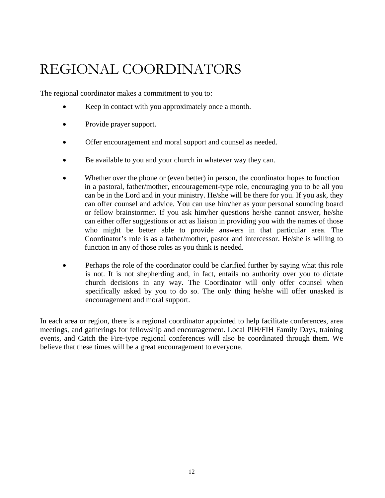## REGIONAL COORDINATORS

The regional coordinator makes a commitment to you to:

- Keep in contact with you approximately once a month.
- Provide prayer support.
- Offer encouragement and moral support and counsel as needed.
- Be available to you and your church in whatever way they can.
- Whether over the phone or (even better) in person, the coordinator hopes to function in a pastoral, father/mother, encouragement-type role, encouraging you to be all you can be in the Lord and in your ministry. He/she will be there for you. If you ask, they can offer counsel and advice. You can use him/her as your personal sounding board or fellow brainstormer. If you ask him/her questions he/she cannot answer, he/she can either offer suggestions or act as liaison in providing you with the names of those who might be better able to provide answers in that particular area. The Coordinator's role is as a father/mother, pastor and intercessor. He/she is willing to function in any of those roles as you think is needed.
- Perhaps the role of the coordinator could be clarified further by saying what this role is not. It is not shepherding and, in fact, entails no authority over you to dictate church decisions in any way. The Coordinator will only offer counsel when specifically asked by you to do so. The only thing he/she will offer unasked is encouragement and moral support.

In each area or region, there is a regional coordinator appointed to help facilitate conferences, area meetings, and gatherings for fellowship and encouragement. Local PIH/FIH Family Days, training events, and Catch the Fire-type regional conferences will also be coordinated through them. We believe that these times will be a great encouragement to everyone.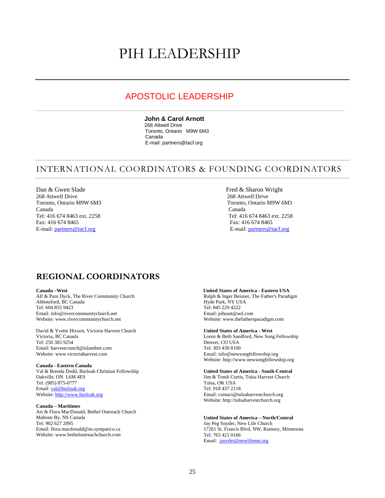## PIH LEADERSHIP

### APOSTOLIC LEADERSHIP

 $\_$  , and the contribution of the contribution of  $\mathcal{L}_\mathcal{A}$  , and the contribution of  $\mathcal{L}_\mathcal{A}$  , and the contribution of  $\mathcal{L}_\mathcal{A}$ 

#### **John & Carol Arnott**

268 Attwell Drive Toronto, Ontario M9W 6M3 Canada E-mail: partners@tacf.org

### INTERNATIONAL COORDINATORS & FOUNDING COORDINATORS

Dan & Gwen Slade Fred & Sharon Wright<br>
268 Attwell Drive 268 Attwell Drive 268 Attwell Drive Toronto, Ontario M9W 6M3 Toronto, Ontario M9W 6M3 Canada Canada Tel: 416 674 8463 ext. 2258 Tel: 416 674 8463 ext. 2258 Fax: 416 674 8465<br>
E-mail: <u>partners@tacf.org</u><br>
E-mail: <u>partners@tacf.org</u><br>
E-mail: partners@t

268 Attwell Drive 268 Attwell Drive E-mail: [partners@tacf.org](mailto:partners@tacf.org)

### **REGIONAL COORDINATORS**

Alf & Pam Dyck, The River Community Church Abbotsford, BC Canada Tel: 604 855 9423 Email: info@rivercommunitychurch.net Website: [www.rivercommunitychurch.net](http://www.rivercommunitychurch.net/)

David & Yvette Hixson, Victoria Harvest Church Victoria, BC Canada Tel: 250 383 9254 Email: [harvestcrunch@islandnet.com](mailto:) Website: www.victoriaharvest.com

#### **Canada - Eastern Canada**

Val & Brenda Dodd, Burloak Christian Fellowship Oakville, ON L6M 4E9 Tel: (905) 875-0777 Email: [val@burloak.org](mailto:val@burloak.org) Website: [http://www.burloak.org](http://www.burloak.org/)

#### **Canada – Maritimes**

Art & Flora MacDonald, Bethel Outreach Church Mahone By, NS Canada Tel: 902 627 2095 Email: [flora.macdonald@ns.sympatico.ca](mailto:flora.macdonald@ns.sympatico.ca) Website: www.betheloutreachchurch.com

#### **Canada –West United States of America - Eastern USA**

Ralph & Inger Beisner, The Father's Paradigm Hyde Park, NY USA Tel: 845 229 4222 Email: [piheast@aol.com](mailto:rabeisner@aol.com) Website: www.thefathersparadigm.com

#### **United States of America - West**

Loren & Beth Sandford, New Song Fellowship Denver, CO USA Tel: 303 430 8100 Email: [info@newsongfellowship.org](mailto:) Website: [http://www.newsongfellowship.org](http://www.newsongfellowship.org/)

#### **United States of America - South-Central**

Jim & Tondi Curtis, Tulsa Harvest Church Tulsa, OK USA Tel: 918 437 2118 Email: [contact@tulsaharvestchurch.org](mailto:contact@tulsaharvestchurch.org) Website: http://tulsaharvestchurch.org

#### **United States of America – North/Central**

Jay Peg Snyder, New Life Church 17261 St. Francis Blvd, NW, Ramsey, Minnesota Tel: 763 421 0166 Email: [jsnyder@newlifemn.org](mailto:jsnyder@newlifemn.org)